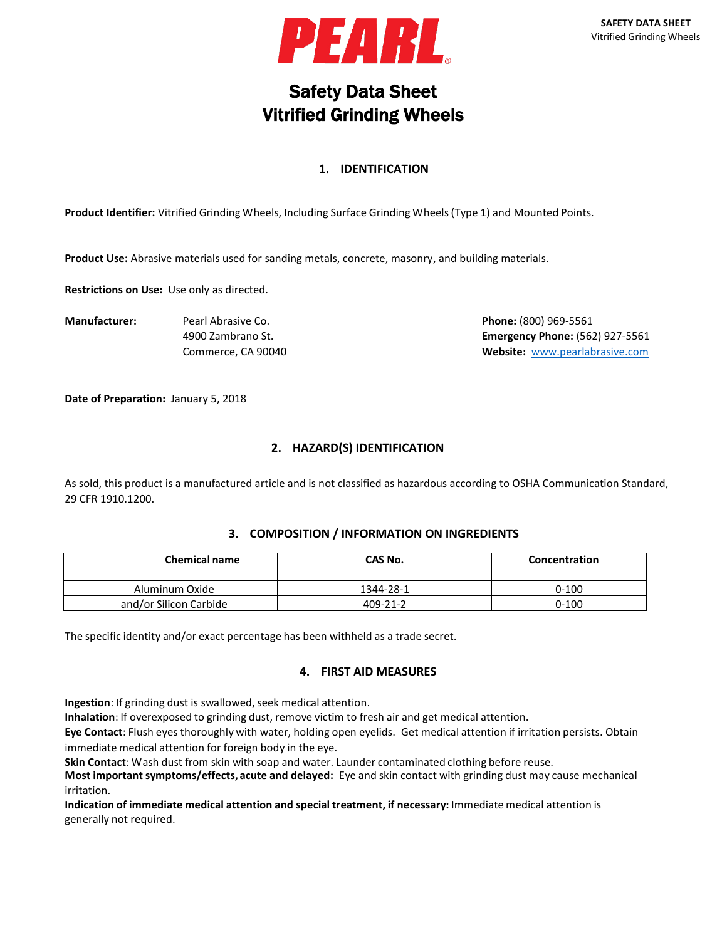

# Safety Data Sheet Vitrified Grinding Wheels

# **1. IDENTIFICATION**

**Product Identifier:** Vitrified Grinding Wheels, Including Surface Grinding Wheels(Type 1) and Mounted Points.

**Product Use:** Abrasive materials used for sanding metals, concrete, masonry, and building materials.

**Restrictions on Use:** Use only as directed.

**Manufacturer:** Pearl Abrasive Co. **Phone:** (800) 969-5561 4900 Zambrano St. **Emergency Phone:** (562) 927-5561 Commerce, CA 90040 **Website:** [www.pearlabrasive.com](http://www.pearlabrasive.com/)

**Date of Preparation:** January 5, 2018

# **2. HAZARD(S) IDENTIFICATION**

As sold, this product is a manufactured article and is not classified as hazardous according to OSHA Communication Standard, 29 CFR 1910.1200.

## **3. COMPOSITION / INFORMATION ON INGREDIENTS**

| <b>Chemical name</b>   | CAS No.        | Concentration |
|------------------------|----------------|---------------|
| Aluminum Oxide         | 1344-28-1      | $0 - 100$     |
| and/or Silicon Carbide | $409 - 21 - 2$ | $0 - 100$     |

The specific identity and/or exact percentage has been withheld as a trade secret.

#### **4. FIRST AID MEASURES**

**Ingestion**: If grinding dust is swallowed, seek medical attention.

**Inhalation**: If overexposed to grinding dust, remove victim to fresh air and get medical attention.

**Eye Contact**: Flush eyes thoroughly with water, holding open eyelids. Get medical attention if irritation persists. Obtain immediate medical attention for foreign body in the eye.

**Skin Contact**: Wash dust from skin with soap and water. Launder contaminated clothing before reuse.

**Most importantsymptoms/effects, acute and delayed:** Eye and skin contact with grinding dust may cause mechanical irritation.

**Indication of immediate medical attention and special treatment, if necessary:** Immediate medical attention is generally not required.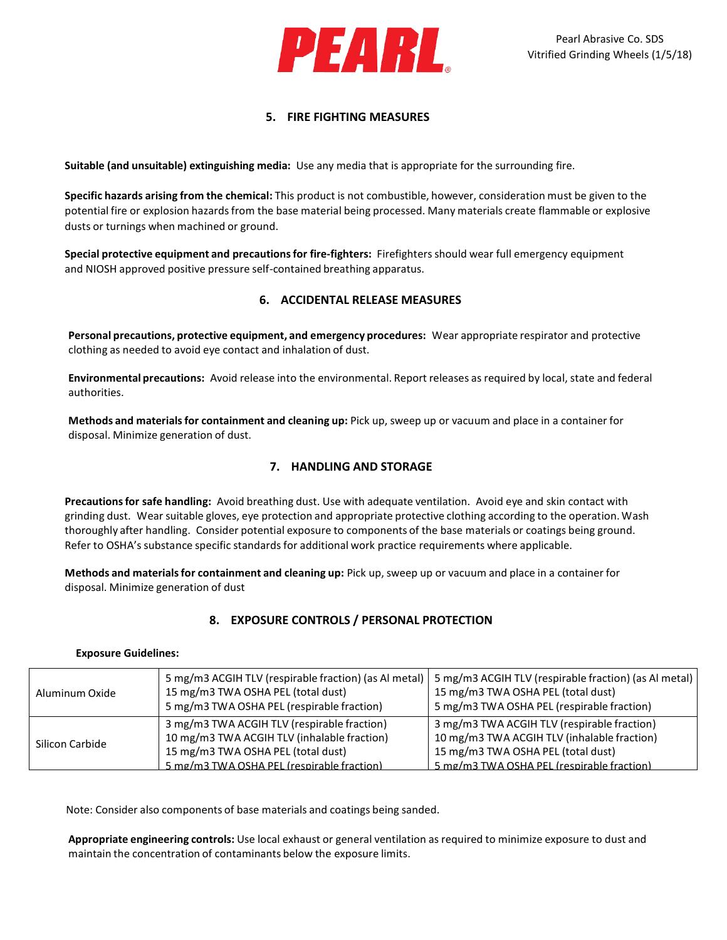

## **5. FIRE FIGHTING MEASURES**

**Suitable (and unsuitable) extinguishing media:** Use any media that is appropriate for the surrounding fire.

**Specific hazards arising from the chemical:** This product is not combustible, however, consideration must be given to the potential fire or explosion hazards from the base material being processed. Many materials create flammable or explosive dusts or turnings when machined or ground.

**Special protective equipment and precautionsfor fire-fighters:** Firefightersshould wear full emergency equipment and NIOSH approved positive pressure self-contained breathing apparatus.

# **6. ACCIDENTAL RELEASE MEASURES**

**Personal precautions, protective equipment, and emergency procedures:** Wear appropriate respirator and protective clothing as needed to avoid eye contact and inhalation of dust.

**Environmental precautions:** Avoid release into the environmental. Report releases as required by local, state and federal authorities.

**Methods and materialsfor containment and cleaning up:** Pick up, sweep up or vacuum and place in a container for disposal. Minimize generation of dust.

## **7. HANDLING AND STORAGE**

**Precautionsfor safe handling:** Avoid breathing dust. Use with adequate ventilation. Avoid eye and skin contact with grinding dust. Wear suitable gloves, eye protection and appropriate protective clothing according to the operation.Wash thoroughly after handling. Consider potential exposure to components of the base materials or coatings being ground. Refer to OSHA's substance specific standards for additional work practice requirements where applicable.

**Methods and materialsfor containment and cleaning up:** Pick up, sweep up or vacuum and place in a container for disposal. Minimize generation of dust

## **8. EXPOSURE CONTROLS / PERSONAL PROTECTION**

#### **Exposure Guidelines:**

| Aluminum Oxide  | 5 mg/m3 ACGIH TLV (respirable fraction) (as Al metal)<br>15 mg/m3 TWA OSHA PEL (total dust)<br>5 mg/m3 TWA OSHA PEL (respirable fraction)                                      | 5 mg/m3 ACGIH TLV (respirable fraction) (as Al metal)<br>15 mg/m3 TWA OSHA PEL (total dust)<br>5 mg/m3 TWA OSHA PEL (respirable fraction)                                      |
|-----------------|--------------------------------------------------------------------------------------------------------------------------------------------------------------------------------|--------------------------------------------------------------------------------------------------------------------------------------------------------------------------------|
| Silicon Carbide | 3 mg/m3 TWA ACGIH TLV (respirable fraction)<br>10 mg/m3 TWA ACGIH TLV (inhalable fraction)<br>15 mg/m3 TWA OSHA PEL (total dust)<br>5 mg/m3 TWA OSHA PEL (respirable fraction) | 3 mg/m3 TWA ACGIH TLV (respirable fraction)<br>10 mg/m3 TWA ACGIH TLV (inhalable fraction)<br>15 mg/m3 TWA OSHA PEL (total dust)<br>5 mg/m3 TWA OSHA PEL (respirable fraction) |

Note: Consider also components of base materials and coatings being sanded.

**Appropriate engineering controls:** Use local exhaust or general ventilation as required to minimize exposure to dust and maintain the concentration of contaminants below the exposure limits.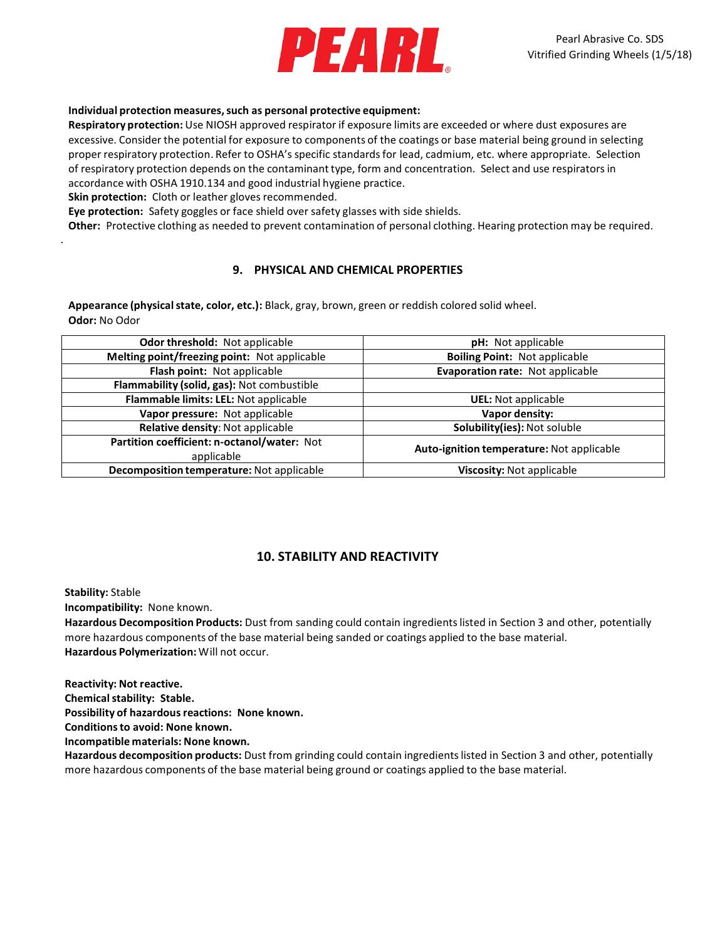

#### **Individual protection measures,such as personal protective equipment:**

**Respiratory protection:** Use NIOSH approved respirator if exposure limits are exceeded or where dust exposures are excessive. Consider the potential for exposure to components of the coatings or base material being ground in selecting proper respiratory protection. Refer to OSHA's specific standardsfor lead, cadmium, etc. where appropriate. Selection of respiratory protection depends on the contaminant type, form and concentration. Select and use respiratorsin accordance with OSHA 1910.134 and good industrial hygiene practice.

**Skin protection:** Cloth or leather gloves recommended.

**Eye protection:** Safety goggles or face shield over safety glasses with side shields.

**Other:** Protective clothing as needed to prevent contamination of personal clothing. Hearing protection may be required.

## **9. PHYSICAL AND CHEMICAL PROPERTIES**

**Appearance (physicalstate, color, etc.):** Black, gray, brown, green or reddish colored solid wheel. **Odor:** No Odor

| <b>Odor threshold: Not applicable</b>        | pH: Not applicable                        |  |
|----------------------------------------------|-------------------------------------------|--|
| Melting point/freezing point: Not applicable | <b>Boiling Point: Not applicable</b>      |  |
| Flash point: Not applicable                  | Evaporation rate: Not applicable          |  |
| Flammability (solid, gas): Not combustible   |                                           |  |
| Flammable limits: LEL: Not applicable        | <b>UEL:</b> Not applicable                |  |
| Vapor pressure: Not applicable               | Vapor density:                            |  |
| Relative density: Not applicable             | Solubility(ies): Not soluble              |  |
| Partition coefficient: n-octanol/water: Not  | Auto-ignition temperature: Not applicable |  |
| applicable                                   |                                           |  |
| Decomposition temperature: Not applicable    | Viscosity: Not applicable                 |  |

## **10. STABILITY AND REACTIVITY**

**Stability:** Stable

.

**Incompatibility:** None known.

**Hazardous Decomposition Products:** Dust from sanding could contain ingredientslisted in Section 3 and other, potentially more hazardous components of the base material being sanded or coatings applied to the base material. **Hazardous Polymerization:**Will not occur.

**Reactivity: Not reactive.**

**Chemical stability: Stable.** 

**Possibility of hazardousreactions: None known.**

**Conditionsto avoid: None known.**

**Incompatible materials: None known.**

**Hazardous decomposition products:** Dust from grinding could contain ingredientslisted in Section 3 and other, potentially more hazardous components of the base material being ground or coatings applied to the base material.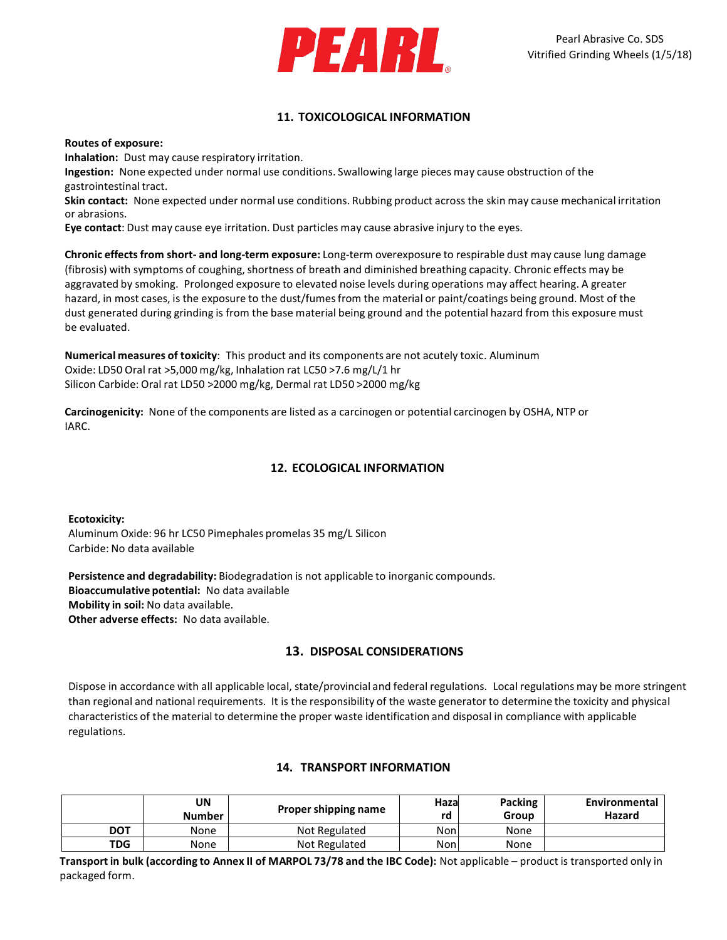

# **11. TOXICOLOGICAL INFORMATION**

#### **Routes of exposure:**

**Inhalation:** Dust may cause respiratory irritation.

**Ingestion:** None expected under normal use conditions. Swallowing large pieces may cause obstruction of the gastrointestinal tract.

**Skin contact:** None expected under normal use conditions. Rubbing product across the skin may cause mechanical irritation or abrasions.

**Eye contact**: Dust may cause eye irritation. Dust particles may cause abrasive injury to the eyes.

**Chronic effectsfrom short- and long-term exposure:** Long-term overexposure to respirable dust may cause lung damage (fibrosis) with symptoms of coughing, shortness of breath and diminished breathing capacity. Chronic effects may be aggravated by smoking. Prolonged exposure to elevated noise levels during operations may affect hearing. A greater hazard, in most cases, is the exposure to the dust/fumesfrom the material or paint/coatings being ground. Most of the dust generated during grinding is from the base material being ground and the potential hazard from this exposure must be evaluated.

**Numerical measures of toxicity**: This product and its components are not acutely toxic. Aluminum Oxide: LD50 Oral rat >5,000 mg/kg, Inhalation rat LC50 >7.6 mg/L/1 hr Silicon Carbide: Oral rat LD50 >2000 mg/kg, Dermal rat LD50 >2000 mg/kg

**Carcinogenicity:** None of the components are listed as a carcinogen or potential carcinogen by OSHA, NTP or IARC.

## **12. ECOLOGICAL INFORMATION**

**Ecotoxicity:** Aluminum Oxide: 96 hr LC50 Pimephales promelas 35 mg/L Silicon Carbide: No data available

**Persistence and degradability:** Biodegradation is not applicable to inorganic compounds. **Bioaccumulative potential:** No data available **Mobility in soil:** No data available. **Other adverse effects:** No data available.

## **13. DISPOSAL CONSIDERATIONS**

Dispose in accordance with all applicable local, state/provincial and federal regulations. Local regulations may be more stringent than regional and national requirements. It is the responsibility of the waste generator to determine the toxicity and physical characteristics of the material to determine the proper waste identification and disposal in compliance with applicable regulations.

#### **14. TRANSPORT INFORMATION**

|            | UN<br><b>Number</b> | Proper shipping name | Haza<br>rd | <b>Packing</b><br>Group | Environmental<br>Hazard |
|------------|---------------------|----------------------|------------|-------------------------|-------------------------|
| <b>DOT</b> | None                | Not Regulated        | Nonl       | None                    |                         |
| <b>TDG</b> | None                | Not Regulated        | Nonl       | None                    |                         |

e **Transport in bulk (according to Annex II of MARPOL 73/78 and the IBC Code):** Not applicable – product is transported only in packaged form.